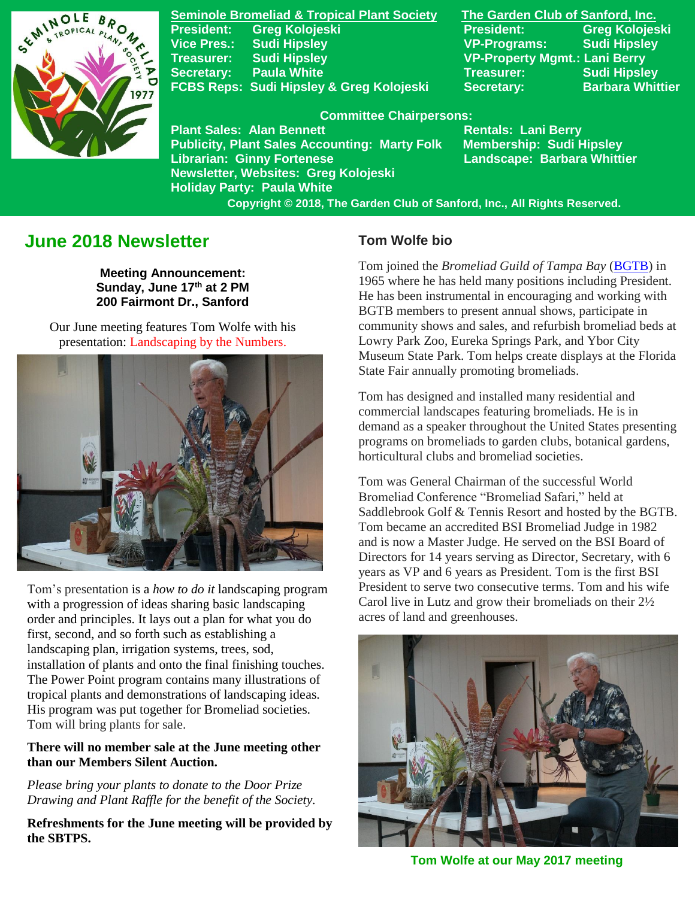

**Seminole Bromeliad & Tropical Plant Society The Garden Club of Sanford, Inc. President: Greg Kolojeski President: Greg Kolojeski Vice Pres.: Sudi Hipsley VP-Programs: Sudi Hipsley Treasurer: Sudi Hipsley VP-Property Mgmt.: Lani Berry Secretary:** Paula White **Network Secretary:** Sudi Hipsley FCBS Reps: Sudi Hipsley & Greg Kolojeski Secretary: Barbara Whittier

#### **Committee Chairpersons:**

**Plant Sales: Alan Bennett** Rentals: Lani Berry **Publicity, Plant Sales Accounting: Marty Folk Membership: Sudi Hipsley Librarian: Ginny Fortenese Landscape: Barbara Whittier Newsletter, Websites: Greg Kolojeski Holiday Party: Paula White** 

 **Copyright © 2018, The Garden Club of Sanford, Inc., All Rights Reserved.**

# **June 2018 Newsletter**

**Meeting Announcement: Sunday, June 17th at 2 PM 200 Fairmont Dr., Sanford**

Our June meeting features Tom Wolfe with his presentation: Landscaping by the Numbers.



Tom's presentation is a *how to do it* landscaping program with a progression of ideas sharing basic landscaping order and principles. It lays out a plan for what you do first, second, and so forth such as establishing a landscaping plan, irrigation systems, trees, sod, installation of plants and onto the final finishing touches. The Power Point program contains many illustrations of tropical plants and demonstrations of landscaping ideas. His program was put together for Bromeliad societies. Tom will bring plants for sale.

### **There will no member sale at the June meeting other than our Members Silent Auction.**

*Please bring your plants to donate to the Door Prize Drawing and Plant Raffle for the benefit of the Society.*

**Refreshments for the June meeting will be provided by the SBTPS.**

## **Tom Wolfe bio**

Tom joined the *Bromeliad Guild of Tampa Bay* [\(BGTB\)](http://www.bromeliadguildoftampabay.org/) in 1965 where he has held many positions including President. He has been instrumental in encouraging and working with BGTB members to present annual shows, participate in community shows and sales, and refurbish bromeliad beds at Lowry Park Zoo, Eureka Springs Park, and Ybor City Museum State Park. Tom helps create displays at the Florida State Fair annually promoting bromeliads.

Tom has designed and installed many residential and commercial landscapes featuring bromeliads. He is in demand as a speaker throughout the United States presenting programs on bromeliads to garden clubs, botanical gardens, horticultural clubs and bromeliad societies.

Tom was General Chairman of the successful World Bromeliad Conference "Bromeliad Safari," held at Saddlebrook Golf & Tennis Resort and hosted by the BGTB. Tom became an accredited BSI Bromeliad Judge in 1982 and is now a Master Judge. He served on the BSI Board of Directors for 14 years serving as Director, Secretary, with 6 years as VP and 6 years as President. Tom is the first BSI President to serve two consecutive terms. Tom and his wife Carol live in Lutz and grow their bromeliads on their 2½ acres of land and greenhouses.



**Tom Wolfe at our May 2017 meeting**